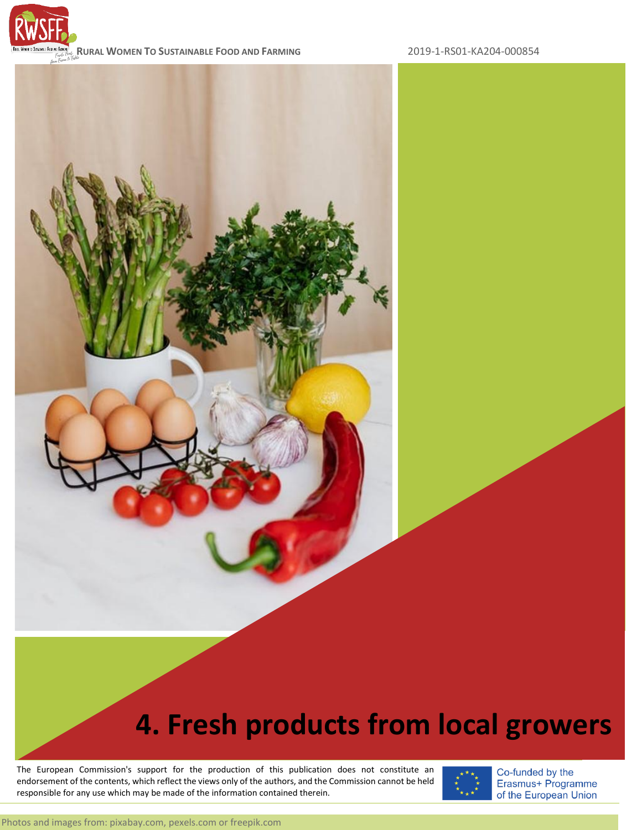

**RURAL WOMEN TO SUSTAINABLE FOOD AND FARMING** 2019-1-RS01-KA204-000854

# **4. Fresh products from local growers**

endorsement of the contents, which reflect the views only of the authors, and the Commission cannot be held processed the set of the content of the content of the content of the set of the set of the set of the set of the The European Commission's support for the production of this publication does not constitute an responsible for any use which may be made of the information contained therein.

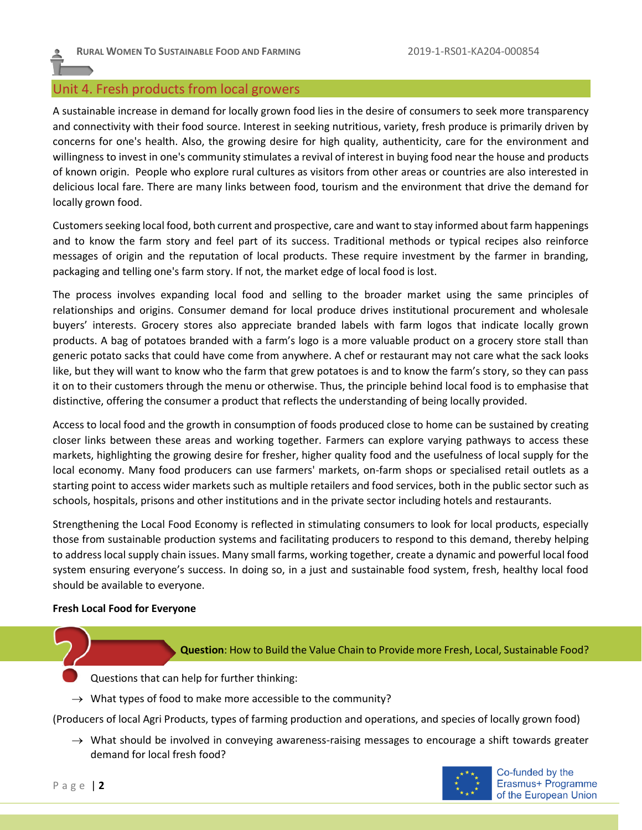# Unit 4. Fresh products from local growers

A sustainable increase in demand for locally grown food lies in the desire of consumers to seek more transparency and connectivity with their food source. Interest in seeking nutritious, variety, fresh produce is primarily driven by concerns for one's health. Also, the growing desire for high quality, authenticity, care for the environment and willingness to invest in one's community stimulates a revival of interest in buying food near the house and products of known origin. People who explore rural cultures as visitors from other areas or countries are also interested in delicious local fare. There are many links between food, tourism and the environment that drive the demand for locally grown food.

Customers seeking local food, both current and prospective, care and want to stay informed about farm happenings and to know the farm story and feel part of its success. Traditional methods or typical recipes also reinforce messages of origin and the reputation of local products. These require investment by the farmer in branding, packaging and telling one's farm story. If not, the market edge of local food is lost.

The process involves expanding local food and selling to the broader market using the same principles of relationships and origins. Consumer demand for local produce drives institutional procurement and wholesale buyers' interests. Grocery stores also appreciate branded labels with farm logos that indicate locally grown products. A bag of potatoes branded with a farm's logo is a more valuable product on a grocery store stall than generic potato sacks that could have come from anywhere. A chef or restaurant may not care what the sack looks like, but they will want to know who the farm that grew potatoes is and to know the farm's story, so they can pass it on to their customers through the menu or otherwise. Thus, the principle behind local food is to emphasise that distinctive, offering the consumer a product that reflects the understanding of being locally provided.

Access to local food and the growth in consumption of foods produced close to home can be sustained by creating closer links between these areas and working together. Farmers can explore varying pathways to access these markets, highlighting the growing desire for fresher, higher quality food and the usefulness of local supply for the local economy. Many food producers can use farmers' markets, on-farm shops or specialised retail outlets as a starting point to access wider markets such as multiple retailers and food services, both in the public sector such as schools, hospitals, prisons and other institutions and in the private sector including hotels and restaurants.

Strengthening the Local Food Economy is reflected in stimulating consumers to look for local products, especially those from sustainable production systems and facilitating producers to respond to this demand, thereby helping to address local supply chain issues. Many small farms, working together, create a dynamic and powerful local food system ensuring everyone's success. In doing so, in a just and sustainable food system, fresh, healthy local food should be available to everyone.

### **Fresh Local Food for Everyone**

**Question**: How to Build the Value Chain to Provide more Fresh, Local, Sustainable Food?

Questions that can help for further thinking:

 $\rightarrow$  What types of food to make more accessible to the community?

(Producers of local Agri Products, types of farming production and operations, and species of locally grown food)

 $\rightarrow$  What should be involved in conveying awareness-raising messages to encourage a shift towards greater demand for local fresh food?

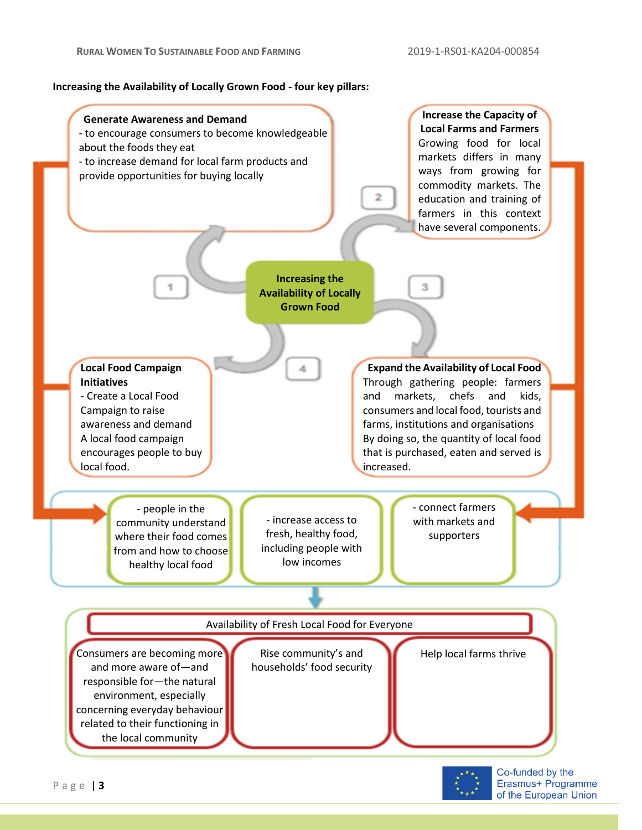**Increasing the Availability of Locally Grown Food - four key pillars:**



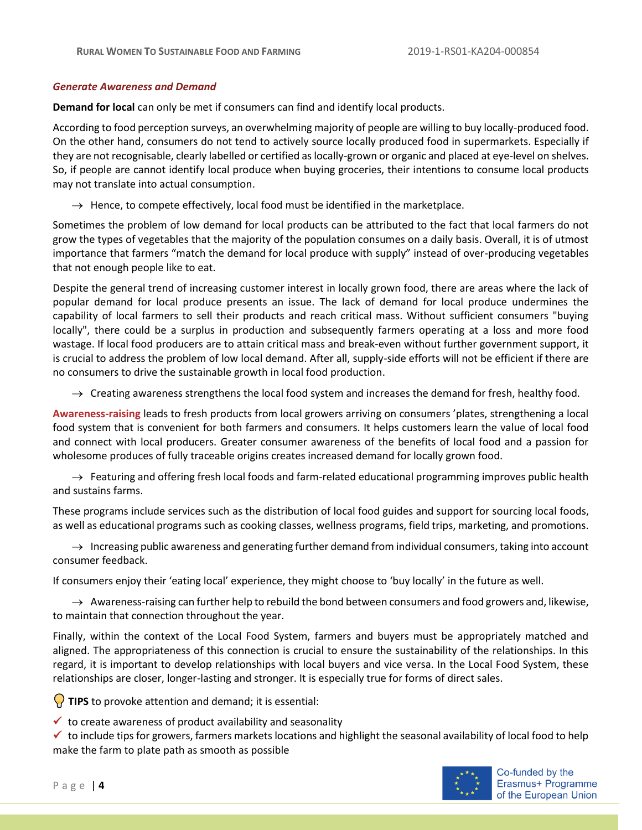### *Generate Awareness and Demand*

**Demand for local** can only be met if consumers can find and identify local products.

According to food perception surveys, an overwhelming majority of people are willing to buy locally-produced food. On the other hand, consumers do not tend to actively source locally produced food in supermarkets. Especially if they are not recognisable, clearly labelled or certified as locally-grown or organic and placed at eye-level on shelves. So, if people are cannot identify local produce when buying groceries, their intentions to consume local products may not translate into actual consumption.

 $\rightarrow$  Hence, to compete effectively, local food must be identified in the marketplace.

Sometimes the problem of low demand for local products can be attributed to the fact that local farmers do not grow the types of vegetables that the majority of the population consumes on a daily basis. Overall, it is of utmost importance that farmers "match the demand for local produce with supply" instead of over-producing vegetables that not enough people like to eat.

Despite the general trend of increasing customer interest in locally grown food, there are areas where the lack of popular demand for local produce presents an issue. The lack of demand for local produce undermines the capability of local farmers to sell their products and reach critical mass. Without sufficient consumers "buying locally", there could be a surplus in production and subsequently farmers operating at a loss and more food wastage. If local food producers are to attain critical mass and break-even without further government support, it is crucial to address the problem of low local demand. After all, supply-side efforts will not be efficient if there are no consumers to drive the sustainable growth in local food production.

 $\rightarrow$  Creating awareness strengthens the local food system and increases the demand for fresh, healthy food.

**Awareness-raising** leads to fresh products from local growers arriving on consumers 'plates, strengthening a local food system that is convenient for both farmers and consumers. It helps customers learn the value of local food and connect with local producers. Greater consumer awareness of the benefits of local food and a passion for wholesome produces of fully traceable origins creates increased demand for locally grown food.

 $\rightarrow$  Featuring and offering fresh local foods and farm-related educational programming improves public health and sustains farms.

These programs include services such as the distribution of local food guides and support for sourcing local foods, as well as educational programs such as cooking classes, wellness programs, field trips, marketing, and promotions.

 $\rightarrow$  Increasing public awareness and generating further demand from individual consumers, taking into account consumer feedback.

If consumers enjoy their 'eating local' experience, they might choose to 'buy locally' in the future as well.

 $\rightarrow$  Awareness-raising can further help to rebuild the bond between consumers and food growers and, likewise, to maintain that connection throughout the year.

Finally, within the context of the Local Food System, farmers and buyers must be appropriately matched and aligned. The appropriateness of this connection is crucial to ensure the sustainability of the relationships. In this regard, it is important to develop relationships with local buyers and vice versa. In the Local Food System, these relationships are closer, longer-lasting and stronger. It is especially true for forms of direct sales.

**TIPS** to provoke attention and demand; it is essential:

 $\checkmark$  to create awareness of product availability and seasonality

 $\checkmark$  to include tips for growers, farmers markets locations and highlight the seasonal availability of local food to help make the farm to plate path as smooth as possible

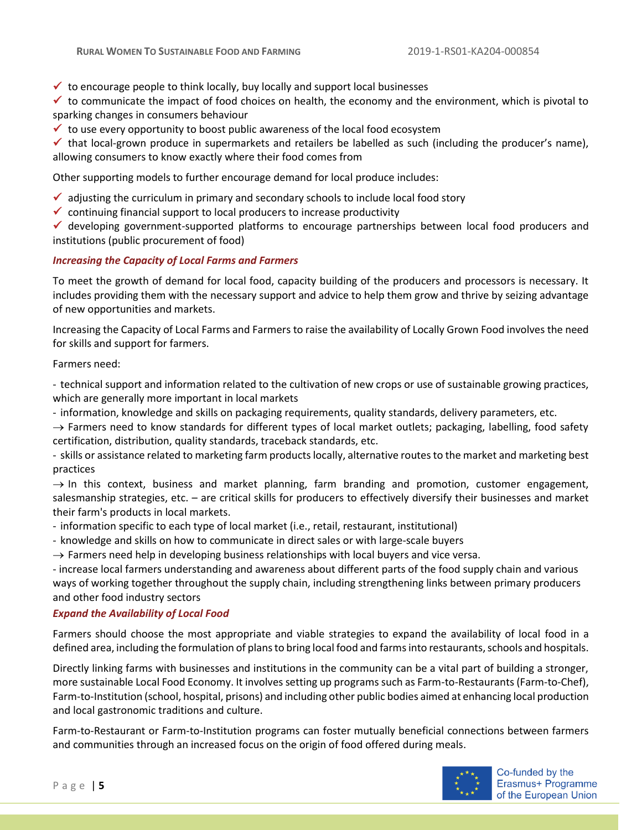$\checkmark$  to encourage people to think locally, buy locally and support local businesses

 $\checkmark$  to communicate the impact of food choices on health, the economy and the environment, which is pivotal to sparking changes in consumers behaviour

 $\checkmark$  to use every opportunity to boost public awareness of the local food ecosystem

 $\checkmark$  that local-grown produce in supermarkets and retailers be labelled as such (including the producer's name), allowing consumers to know exactly where their food comes from

Other supporting models to further encourage demand for local produce includes:

- $\checkmark$  adjusting the curriculum in primary and secondary schools to include local food story
- $\checkmark$  continuing financial support to local producers to increase productivity

✓ developing government-supported platforms to encourage partnerships between local food producers and institutions (public procurement of food)

# *Increasing the Capacity of Local Farms and Farmers*

To meet the growth of demand for local food, capacity building of the producers and processors is necessary. It includes providing them with the necessary support and advice to help them grow and thrive by seizing advantage of new opportunities and markets.

Increasing the Capacity of Local Farms and Farmers to raise the availability of Locally Grown Food involves the need for skills and support for farmers.

Farmers need:

- technical support and information related to the cultivation of new crops or use of sustainable growing practices, which are generally more important in local markets

- information, knowledge and skills on packaging requirements, quality standards, delivery parameters, etc.

 $\rightarrow$  Farmers need to know standards for different types of local market outlets; packaging, labelling, food safety certification, distribution, quality standards, traceback standards, etc.

- skills or assistance related to marketing farm products locally, alternative routes to the market and marketing best practices

 $\rightarrow$  In this context, business and market planning, farm branding and promotion, customer engagement, salesmanship strategies, etc. – are critical skills for producers to effectively diversify their businesses and market their farm's products in local markets.

- information specific to each type of local market (i.e., retail, restaurant, institutional)

- knowledge and skills on how to communicate in direct sales or with large-scale buyers

 $\rightarrow$  Farmers need help in developing business relationships with local buyers and vice versa.

- increase local farmers understanding and awareness about different parts of the food supply chain and various ways of working together throughout the supply chain, including strengthening links between primary producers and other food industry sectors

# *Expand the Availability of Local Food*

Farmers should choose the most appropriate and viable strategies to expand the availability of local food in a defined area, including the formulation of plans to bring local food and farms into restaurants, schools and hospitals.

Directly linking farms with businesses and institutions in the community can be a vital part of building a stronger, more sustainable Local Food Economy. It involves setting up programs such as Farm-to-Restaurants (Farm-to-Chef), Farm-to-Institution (school, hospital, prisons) and including other public bodies aimed at enhancing local production and local gastronomic traditions and culture.

Farm-to-Restaurant or Farm-to-Institution programs can foster mutually beneficial connections between farmers and communities through an increased focus on the origin of food offered during meals.

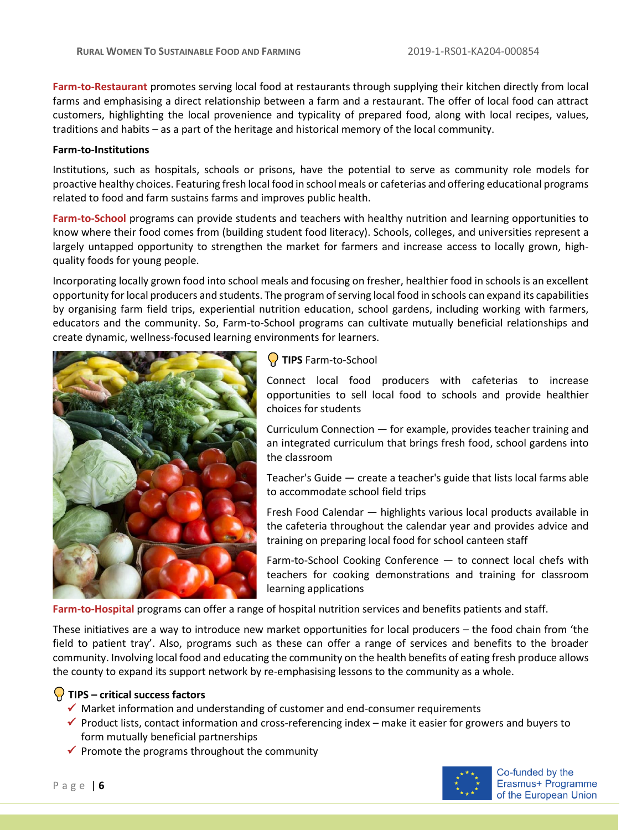**Farm-to-Restaurant** promotes serving local food at restaurants through supplying their kitchen directly from local farms and emphasising a direct relationship between a farm and a restaurant. The offer of local food can attract customers, highlighting the local provenience and typicality of prepared food, along with local recipes, values, traditions and habits – as a part of the heritage and historical memory of the local community.

### **Farm-to-Institutions**

Institutions, such as hospitals, schools or prisons, have the potential to serve as community role models for proactive healthy choices. Featuring fresh local food in school meals or cafeterias and offering educational programs related to food and farm sustains farms and improves public health.

**Farm-to-School** programs can provide students and teachers with healthy nutrition and learning opportunities to know where their food comes from (building student food literacy). Schools, colleges, and universities represent a largely untapped opportunity to strengthen the market for farmers and increase access to locally grown, highquality foods for young people.

Incorporating locally grown food into school meals and focusing on fresher, healthier food in schools is an excellent opportunity for local producers and students. The program of serving local food in schools can expand its capabilities by organising farm field trips, experiential nutrition education, school gardens, including working with farmers, educators and the community. So, Farm-to-School programs can cultivate mutually beneficial relationships and create dynamic, wellness-focused learning environments for learners.



**TIPS** Farm-to-School

Connect local food producers with cafeterias to increase opportunities to sell local food to schools and provide healthier choices for students

Curriculum Connection — for example, provides teacher training and an integrated curriculum that brings fresh food, school gardens into the classroom

Teacher's Guide — create a teacher's guide that lists local farms able to accommodate school field trips

Fresh Food Calendar — highlights various local products available in the cafeteria throughout the calendar year and provides advice and training on preparing local food for school canteen staff

Farm-to-School Cooking Conference — to connect local chefs with teachers for cooking demonstrations and training for classroom learning applications

**Farm-to-Hospital** programs can offer a range of hospital nutrition services and benefits patients and staff.

These initiatives are a way to introduce new market opportunities for local producers – the food chain from 'the field to patient tray'. Also, programs such as these can offer a range of services and benefits to the broader community. Involving local food and educating the community on the health benefits of eating fresh produce allows the county to expand its support network by re-emphasising lessons to the community as a whole.

# **TIPS – critical success factors**

- ✓ Market information and understanding of customer and end-consumer requirements
- ✓ Product lists, contact information and cross-referencing index make it easier for growers and buyers to form mutually beneficial partnerships
- $\checkmark$  Promote the programs throughout the community

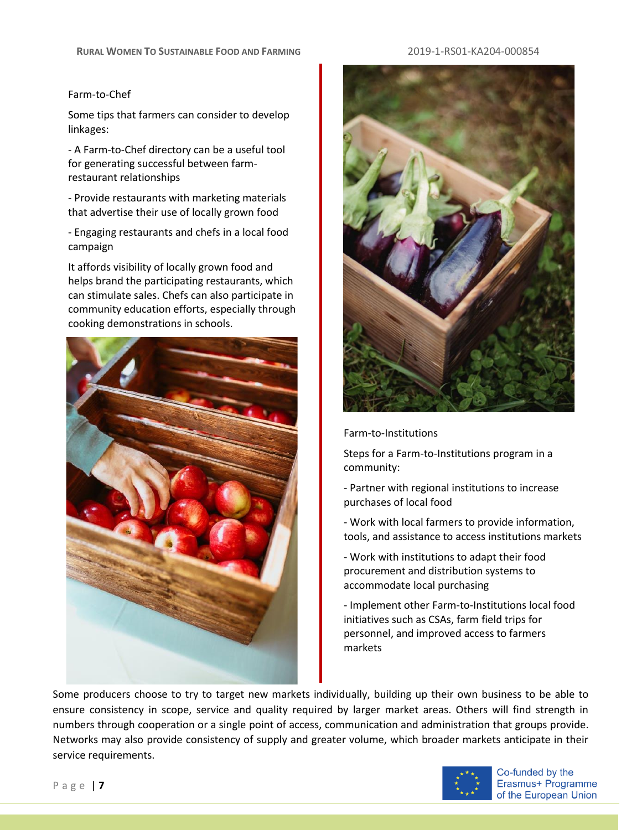# Farm-to-Chef

Some tips that farmers can consider to develop linkages:

- A Farm-to-Chef directory can be a useful tool for generating successful between farmrestaurant relationships

- Provide restaurants with marketing materials that advertise their use of locally grown food

- Engaging restaurants and chefs in a local food campaign

It affords visibility of locally grown food and helps brand the participating restaurants, which can stimulate sales. Chefs can also participate in community education efforts, especially through cooking demonstrations in schools.





Farm-to-Institutions

Steps for a Farm-to-Institutions program in a community:

- Partner with regional institutions to increase purchases of local food

- Work with local farmers to provide information, tools, and assistance to access institutions markets

- Work with institutions to adapt their food procurement and distribution systems to accommodate local purchasing

- Implement other Farm-to-Institutions local food initiatives such as CSAs, farm field trips for personnel, and improved access to farmers markets

Some producers choose to try to target new markets individually, building up their own business to be able to ensure consistency in scope, service and quality required by larger market areas. Others will find strength in numbers through cooperation or a single point of access, communication and administration that groups provide. Networks may also provide consistency of supply and greater volume, which broader markets anticipate in their service requirements.

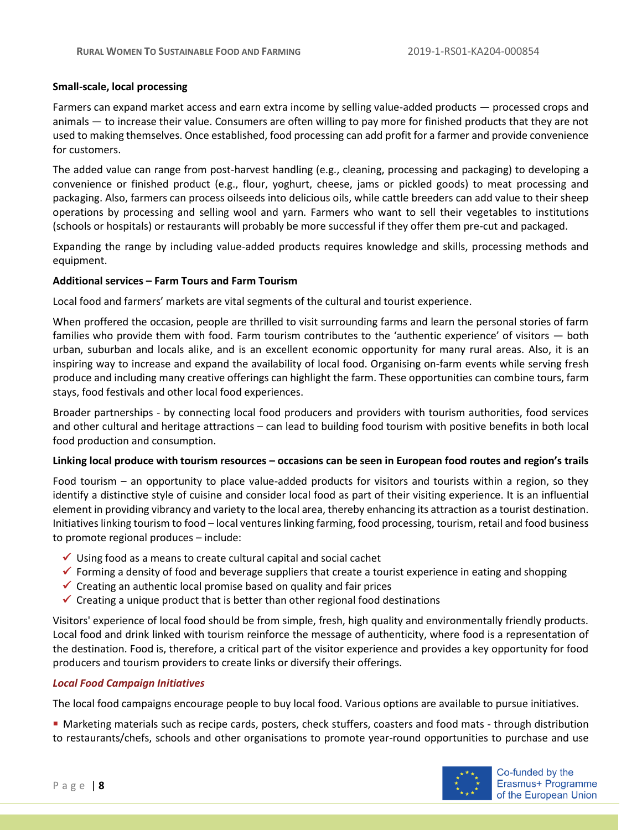## **Small-scale, local processing**

Farmers can expand market access and earn extra income by selling value-added products — processed crops and animals — to increase their value. Consumers are often willing to pay more for finished products that they are not used to making themselves. Once established, food processing can add profit for a farmer and provide convenience for customers.

The added value can range from post-harvest handling (e.g., cleaning, processing and packaging) to developing a convenience or finished product (e.g., flour, yoghurt, cheese, jams or pickled goods) to meat processing and packaging. Also, farmers can process oilseeds into delicious oils, while cattle breeders can add value to their sheep operations by processing and selling wool and yarn. Farmers who want to sell their vegetables to institutions (schools or hospitals) or restaurants will probably be more successful if they offer them pre-cut and packaged.

Expanding the range by including value-added products requires knowledge and skills, processing methods and equipment.

### **Additional services – Farm Tours and Farm Tourism**

Local food and farmers' markets are vital segments of the cultural and tourist experience.

When proffered the occasion, people are thrilled to visit surrounding farms and learn the personal stories of farm families who provide them with food. Farm tourism contributes to the 'authentic experience' of visitors — both urban, suburban and locals alike, and is an excellent economic opportunity for many rural areas. Also, it is an inspiring way to increase and expand the availability of local food. Organising on-farm events while serving fresh produce and including many creative offerings can highlight the farm. These opportunities can combine tours, farm stays, food festivals and other local food experiences.

Broader partnerships - by connecting local food producers and providers with tourism authorities, food services and other cultural and heritage attractions – can lead to building food tourism with positive benefits in both local food production and consumption.

### **Linking local produce with tourism resources – occasions can be seen in European food routes and region's trails**

Food tourism – an opportunity to place value-added products for visitors and tourists within a region, so they identify a distinctive style of cuisine and consider local food as part of their visiting experience. It is an influential element in providing vibrancy and variety to the local area, thereby enhancing its attraction as a tourist destination. Initiatives linking tourism to food – local ventures linking farming, food processing, tourism, retail and food business to promote regional produces – include:

- $\checkmark$  Using food as a means to create cultural capital and social cachet
- $\checkmark$  Forming a density of food and beverage suppliers that create a tourist experience in eating and shopping
- $\checkmark$  Creating an authentic local promise based on quality and fair prices
- $\checkmark$  Creating a unique product that is better than other regional food destinations

Visitors' experience of local food should be from simple, fresh, high quality and environmentally friendly products. Local food and drink linked with tourism reinforce the message of authenticity, where food is a representation of the destination. Food is, therefore, a critical part of the visitor experience and provides a key opportunity for food producers and tourism providers to create links or diversify their offerings.

# *Local Food Campaign Initiatives*

The local food campaigns encourage people to buy local food. Various options are available to pursue initiatives.

**• Marketing materials such as recipe cards, posters, check stuffers, coasters and food mats - through distribution** to restaurants/chefs, schools and other organisations to promote year-round opportunities to purchase and use

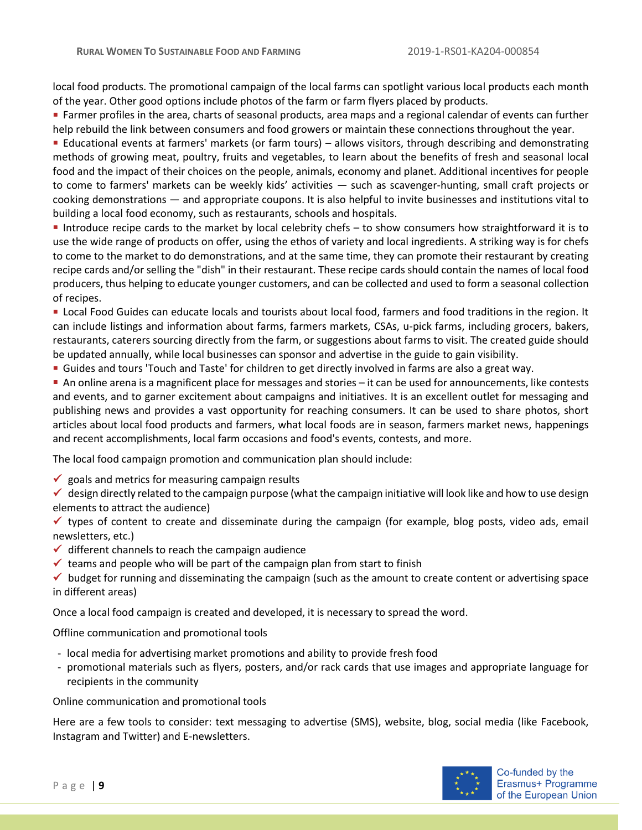local food products. The promotional campaign of the local farms can spotlight various local products each month of the year. Other good options include photos of the farm or farm flyers placed by products.

**Example 1** Farmer profiles in the area, charts of seasonal products, area maps and a regional calendar of events can further help rebuild the link between consumers and food growers or maintain these connections throughout the year.

■ Educational events at farmers' markets (or farm tours) – allows visitors, through describing and demonstrating methods of growing meat, poultry, fruits and vegetables, to learn about the benefits of fresh and seasonal local food and the impact of their choices on the people, animals, economy and planet. Additional incentives for people to come to farmers' markets can be weekly kids' activities — such as scavenger-hunting, small craft projects or cooking demonstrations — and appropriate coupons. It is also helpful to invite businesses and institutions vital to building a local food economy, such as restaurants, schools and hospitals.

■ Introduce recipe cards to the market by local celebrity chefs – to show consumers how straightforward it is to use the wide range of products on offer, using the ethos of variety and local ingredients. A striking way is for chefs to come to the market to do demonstrations, and at the same time, they can promote their restaurant by creating recipe cards and/or selling the "dish" in their restaurant. These recipe cards should contain the names of local food producers, thus helping to educate younger customers, and can be collected and used to form a seasonal collection of recipes.

▪ Local Food Guides can educate locals and tourists about local food, farmers and food traditions in the region. It can include listings and information about farms, farmers markets, CSAs, u-pick farms, including grocers, bakers, restaurants, caterers sourcing directly from the farm, or suggestions about farms to visit. The created guide should be updated annually, while local businesses can sponsor and advertise in the guide to gain visibility.

**Example 3 and tours 'Touch and Taste' for children to get directly involved in farms are also a great way.** 

■ An online arena is a magnificent place for messages and stories – it can be used for announcements, like contests and events, and to garner excitement about campaigns and initiatives. It is an excellent outlet for messaging and publishing news and provides a vast opportunity for reaching consumers. It can be used to share photos, short articles about local food products and farmers, what local foods are in season, farmers market news, happenings and recent accomplishments, local farm occasions and food's events, contests, and more.

The local food campaign promotion and communication plan should include:

- $\checkmark$  goals and metrics for measuring campaign results
- ✓ design directly related to the campaign purpose (what the campaign initiative will look like and how to use design elements to attract the audience)
- ✓ types of content to create and disseminate during the campaign (for example, blog posts, video ads, email newsletters, etc.)
- $\checkmark$  different channels to reach the campaign audience
- $\checkmark$  teams and people who will be part of the campaign plan from start to finish
- $\checkmark$  budget for running and disseminating the campaign (such as the amount to create content or advertising space in different areas)

Once a local food campaign is created and developed, it is necessary to spread the word.

Offline communication and promotional tools

- local media for advertising market promotions and ability to provide fresh food
- promotional materials such as flyers, posters, and/or rack cards that use images and appropriate language for recipients in the community

Online communication and promotional tools

Here are a few tools to consider: text messaging to advertise (SMS), website, blog, social media (like Facebook, Instagram and Twitter) and E-newsletters.

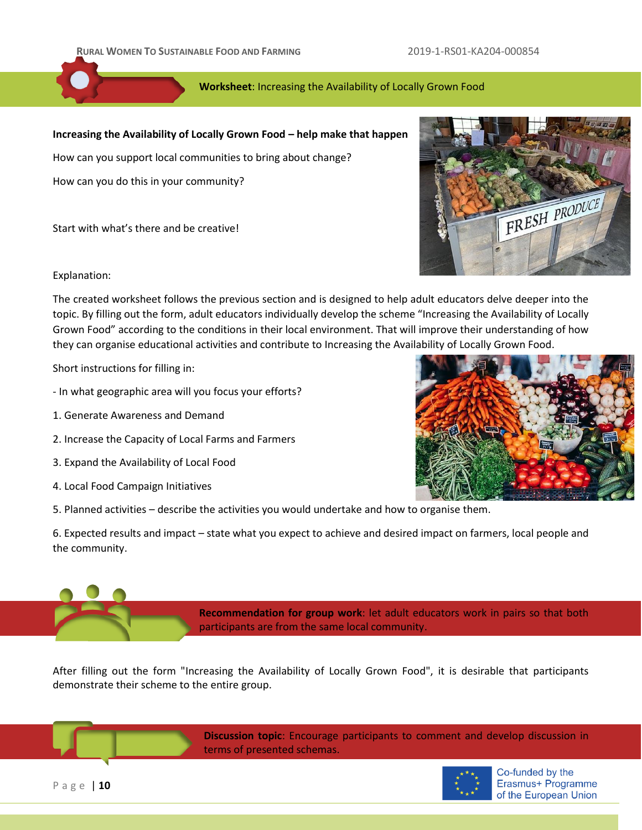# **Worksheet**: Increasing the Availability of Locally Grown Food

# **Increasing the Availability of Locally Grown Food – help make that happen**

How can you support local communities to bring about change?

How can you do this in your community?

Start with what's there and be creative!



Explanation:

The created worksheet follows the previous section and is designed to help adult educators delve deeper into the topic. By filling out the form, adult educators individually develop the scheme "Increasing the Availability of Locally Grown Food" according to the conditions in their local environment. That will improve their understanding of how they can organise educational activities and contribute to Increasing the Availability of Locally Grown Food.

Short instructions for filling in:

- In what geographic area will you focus your efforts?
- 1. Generate Awareness and Demand
- 2. Increase the Capacity of Local Farms and Farmers
- 3. Expand the Availability of Local Food
- 4. Local Food Campaign Initiatives

5. Planned activities – describe the activities you would undertake and how to organise them.

6. Expected results and impact – state what you expect to achieve and desired impact on farmers, local people and the community.

> **Recommendation for group work**: let adult educators work in pairs so that both participants are from the same local community.

After filling out the form "Increasing the Availability of Locally Grown Food", it is desirable that participants demonstrate their scheme to the entire group.



P a g e | **10**

**Discussion topic**: Encourage participants to comment and develop discussion in terms of presented schemas.



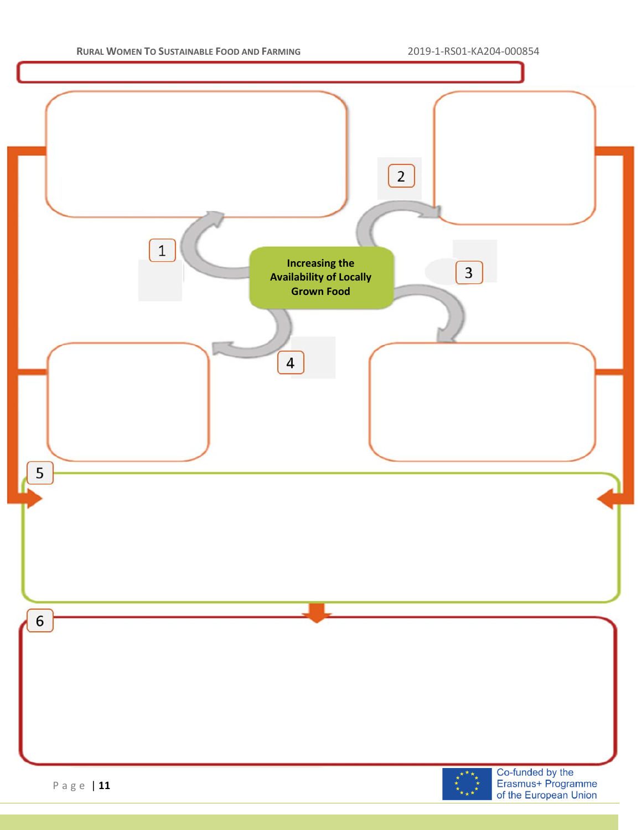